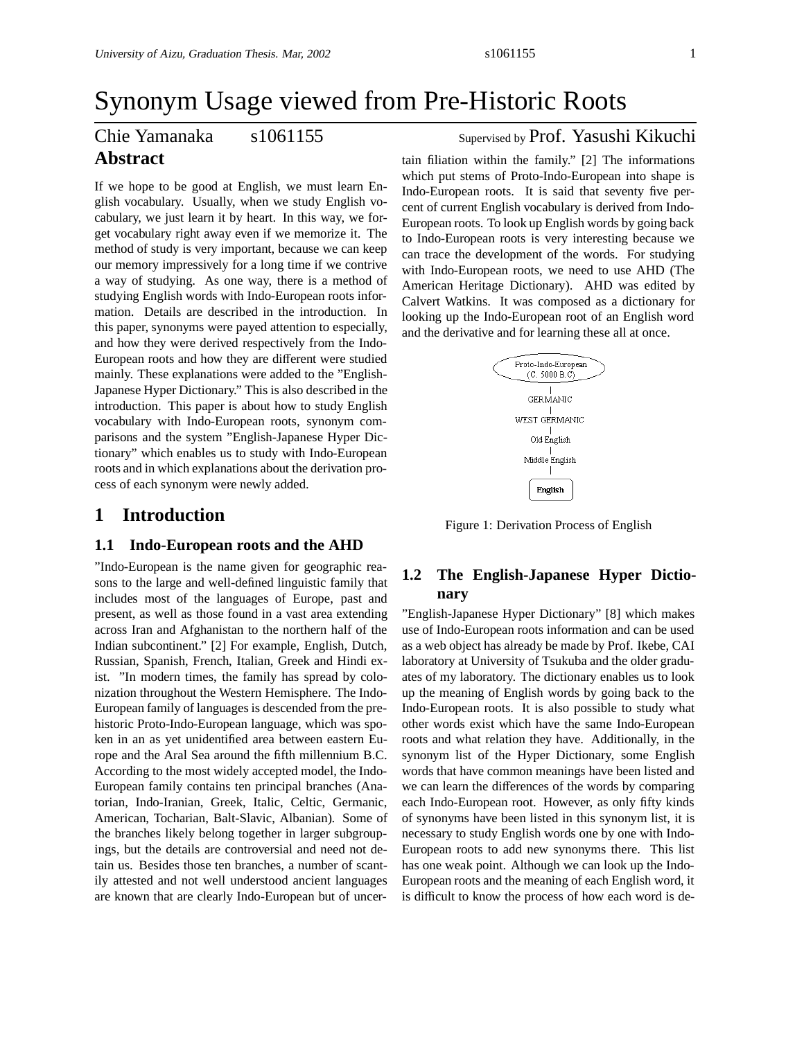# Synonym Usage viewed from Pre-Historic Roots

## Chie Yamanaka s1061155 Supervised by Prof. Yasushi Kikuchi **Abstract**

If we hope to be good at English, we must learn English vocabulary. Usually, when we study English vocabulary, we just learn it by heart. In this way, we forget vocabulary right away even if we memorize it. The method of study is very important, because we can keep our memory impressively for a long time if we contrive a way of studying. As one way, there is a method of studying English words with Indo-European roots information. Details are described in the introduction. In this paper, synonyms were payed attention to especially, and how they were derived respectively from the Indo-European roots and how they are different were studied mainly. These explanations were added to the "English-Japanese Hyper Dictionary." This is also described in the introduction. This paper is about how to study English vocabulary with Indo-European roots, synonym comparisons and the system "English-Japanese Hyper Dictionary" which enables us to study with Indo-European roots and in which explanations about the derivation process of each synonym were newly added.

## **1 Introduction**

#### **1.1 Indo-European roots and the AHD**

"Indo-European is the name given for geographic reasons to the large and well-defined linguistic family that includes most of the languages of Europe, past and present, as well as those found in a vast area extending across Iran and Afghanistan to the northern half of the Indian subcontinent." [2] For example, English, Dutch, Russian, Spanish, French, Italian, Greek and Hindi exist. "In modern times, the family has spread by colonization throughout the Western Hemisphere. The Indo-European family of languages is descended from the prehistoric Proto-Indo-European language, which was spoken in an as yet unidentified area between eastern Europe and the Aral Sea around the fifth millennium B.C. According to the most widely accepted model, the Indo-European family contains ten principal branches (Anatorian, Indo-Iranian, Greek, Italic, Celtic, Germanic, American, Tocharian, Balt-Slavic, Albanian). Some of the branches likely belong together in larger subgroupings, but the details are controversial and need not detain us. Besides those ten branches, a number of scantily attested and not well understood ancient languages are known that are clearly Indo-European but of uncer-

tain filiation within the family." [2] The informations which put stems of Proto-Indo-European into shape is Indo-European roots. It is said that seventy five percent of current English vocabulary is derived from Indo-European roots. To look up English words by going back to Indo-European roots is very interesting because we can trace the development of the words. For studying with Indo-European roots, we need to use AHD (The American Heritage Dictionary). AHD was edited by Calvert Watkins. It was composed as a dictionary for looking up the Indo-European root of an English word and the derivative and for learning these all at once.



Figure 1: Derivation Process of English

## **1.2 The English-Japanese Hyper Dictionary**

"English-Japanese Hyper Dictionary" [8] which makes use of Indo-European roots information and can be used as a web object has already be made by Prof. Ikebe, CAI laboratory at University of Tsukuba and the older graduates of my laboratory. The dictionary enables us to look up the meaning of English words by going back to the Indo-European roots. It is also possible to study what other words exist which have the same Indo-European roots and what relation they have. Additionally, in the synonym list of the Hyper Dictionary, some English words that have common meanings have been listed and we can learn the differences of the words by comparing each Indo-European root. However, as only fifty kinds of synonyms have been listed in this synonym list, it is necessary to study English words one by one with Indo-European roots to add new synonyms there. This list has one weak point. Although we can look up the Indo-European roots and the meaning of each English word, it is difficult to know the process of how each word is de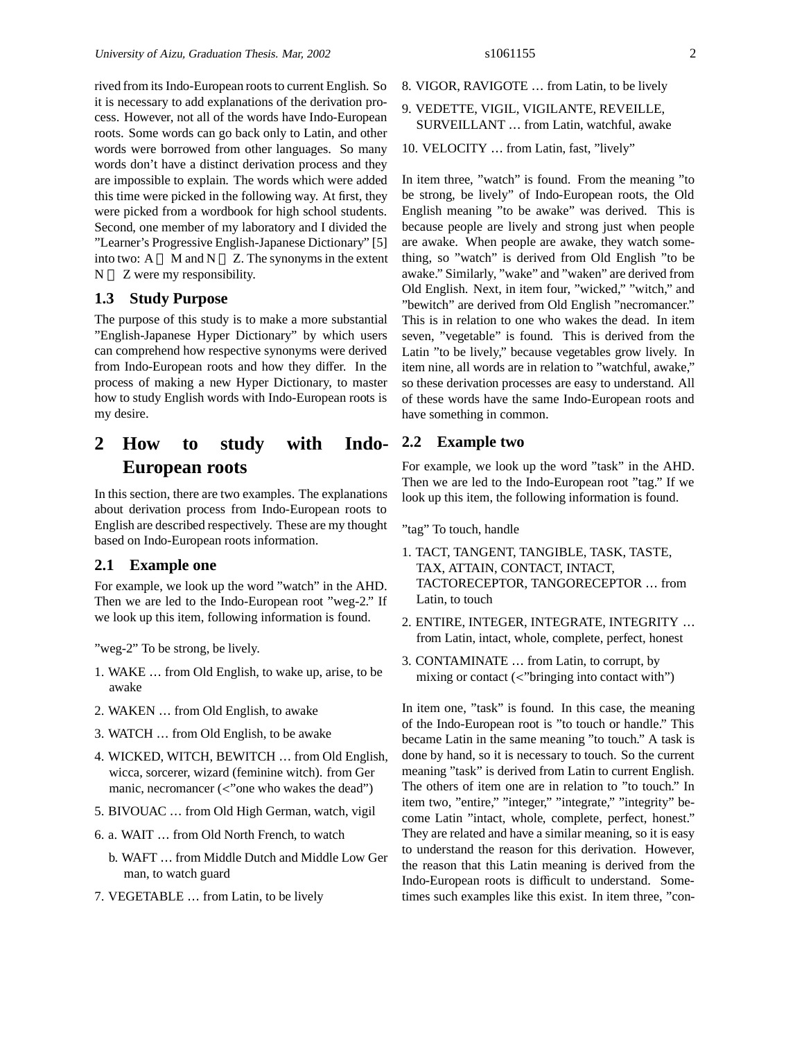rived from its Indo-European roots to current English. So it is necessary to add explanations of the derivation process. However, not all of the words have Indo-European roots. Some words can go back only to Latin, and other words were borrowed from other languages. So many words don't have a distinct derivation process and they are impossible to explain. The words which were added this time were picked in the following way. At first, they were picked from a wordbook for high school students. Second, one member of my laboratory and I divided the "Learner's Progressive English-Japanese Dictionary" [5] into two:  $A$  M and  $N$  Z. The synonyms in the extent N Z were my responsibility.

#### **1.3 Study Purpose**

The purpose of this study is to make a more substantial "English-Japanese Hyper Dictionary" by which users can comprehend how respective synonyms were derived from Indo-European roots and how they differ. In the process of making a new Hyper Dictionary, to master how to study English words with Indo-European roots is my desire.

## **2 How to study with Indo-European roots**

In this section, there are two examples. The explanations about derivation process from Indo-European roots to English are described respectively. These are my thought based on Indo-European roots information.

#### **2.1 Example one**

For example, we look up the word "watch" in the AHD. Then we are led to the Indo-European root "weg-2." If we look up this item, following information is found.

"weg-2" To be strong, be lively.

- 1. WAKE … from Old English, to wake up, arise, to be awake
- 2. WAKEN … from Old English, to awake
- 3. WATCH … from Old English, to be awake
- 4. WICKED, WITCH, BEWITCH … from Old English, wicca, sorcerer, wizard (feminine witch). from Ger manic, necromancer  $\langle \langle \cdot \rangle$  one who wakes the dead")
- 5. BIVOUAC … from Old High German, watch, vigil
- 6. a. WAIT … from Old North French, to watch
	- b. WAFT … from Middle Dutch and Middle Low Ger man, to watch guard
- 7. VEGETABLE … from Latin, to be lively
- 8. VIGOR, RAVIGOTE … from Latin, to be lively
- 9. VEDETTE, VIGIL, VIGILANTE, REVEILLE, SURVEILLANT … from Latin, watchful, awake
- 10. VELOCITY … from Latin, fast, "lively"

In item three, "watch" is found. From the meaning "to be strong, be lively" of Indo-European roots, the Old English meaning "to be awake" was derived. This is because people are lively and strong just when people are awake. When people are awake, they watch something, so "watch" is derived from Old English "to be awake." Similarly, "wake" and "waken" are derived from Old English. Next, in item four, "wicked," "witch," and "bewitch" are derived from Old English "necromancer." This is in relation to one who wakes the dead. In item seven, "vegetable" is found. This is derived from the Latin "to be lively," because vegetables grow lively. In item nine, all words are in relation to "watchful, awake," so these derivation processes are easy to understand. All of these words have the same Indo-European roots and have something in common.

#### **2.2 Example two**

For example, we look up the word "task" in the AHD. Then we are led to the Indo-European root "tag." If we look up this item, the following information is found.

"tag" To touch, handle

- 1. TACT, TANGENT, TANGIBLE, TASK, TASTE, TAX, ATTAIN, CONTACT, INTACT, TACTORECEPTOR, TANGORECEPTOR … from Latin, to touch
- 2. ENTIRE, INTEGER, INTEGRATE, INTEGRITY … from Latin, intact, whole, complete, perfect, honest
- 3. CONTAMINATE … from Latin, to corrupt, by mixing or contact  $\langle \cdot \rangle$ " bringing into contact with")

In item one, "task" is found. In this case, the meaning of the Indo-European root is "to touch or handle." This became Latin in the same meaning "to touch." A task is done by hand, so it is necessary to touch. So the current meaning "task" is derived from Latin to current English. The others of item one are in relation to "to touch." In item two, "entire," "integer," "integrate," "integrity" become Latin "intact, whole, complete, perfect, honest." They are related and have a similar meaning, so it is easy to understand the reason for this derivation. However, the reason that this Latin meaning is derived from the Indo-European roots is difficult to understand. Sometimes such examples like this exist. In item three, "con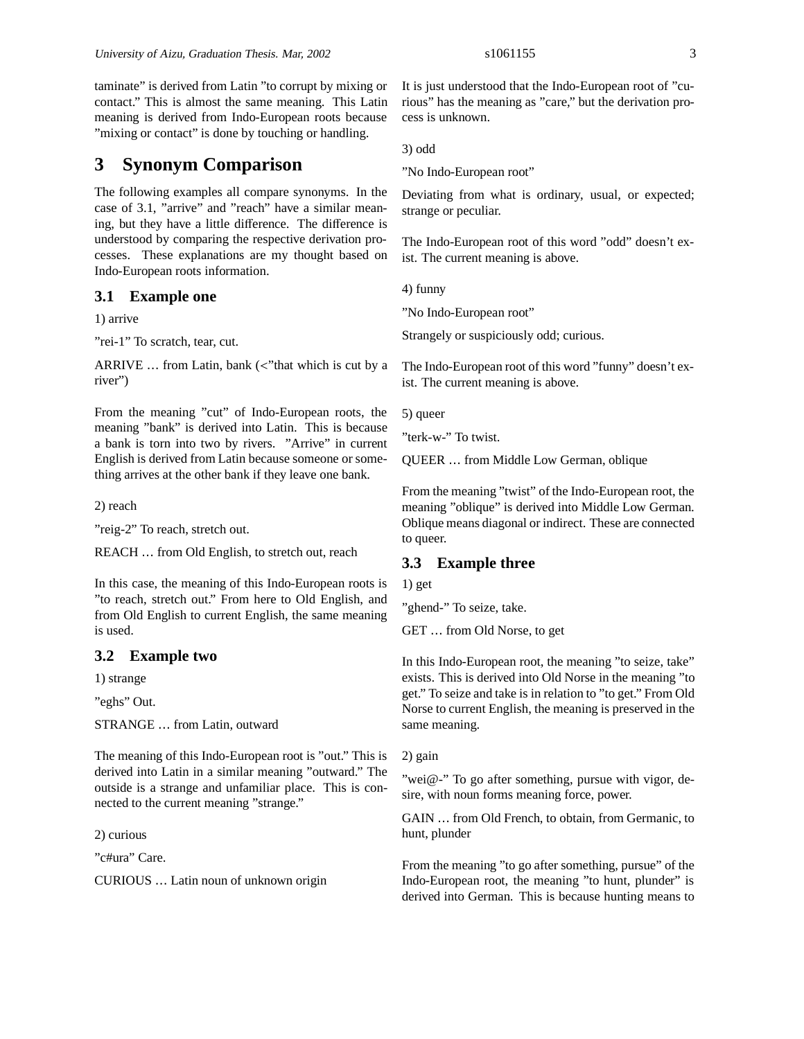taminate" is derived from Latin "to corrupt by mixing or contact." This is almost the same meaning. This Latin meaning is derived from Indo-European roots because "mixing or contact" is done by touching or handling.

## **3 Synonym Comparison**

The following examples all compare synonyms. In the case of 3.1, "arrive" and "reach" have a similar meaning, but they have a little difference. The difference is understood by comparing the respective derivation processes. These explanations are my thought based on Indo-European roots information.

#### **3.1 Example one**

1) arrive

"rei-1" To scratch, tear, cut.

ARRIVE ... from Latin, bank (<"that which is cut by a river")

From the meaning "cut" of Indo-European roots, the meaning "bank" is derived into Latin. This is because a bank is torn into two by rivers. "Arrive" in current English is derived from Latin because someone or something arrives at the other bank if they leave one bank.

2) reach

"reig-2" To reach, stretch out.

REACH … from Old English, to stretch out, reach

In this case, the meaning of this Indo-European roots is "to reach, stretch out." From here to Old English, and from Old English to current English, the same meaning is used.

#### **3.2 Example two**

1) strange

"eghs" Out.

STRANGE … from Latin, outward

The meaning of this Indo-European root is "out." This is derived into Latin in a similar meaning "outward." The outside is a strange and unfamiliar place. This is connected to the current meaning "strange."

2) curious

"c#ura" Care.

CURIOUS … Latin noun of unknown origin

It is just understood that the Indo-European root of "curious" has the meaning as "care," but the derivation process is unknown.

3) odd

"No Indo-European root"

Deviating from what is ordinary, usual, or expected; strange or peculiar.

The Indo-European root of this word "odd" doesn't exist. The current meaning is above.

4) funny

"No Indo-European root"

Strangely or suspiciously odd; curious.

The Indo-European root of this word "funny" doesn't exist. The current meaning is above.

5) queer

"terk-w-" To twist.

QUEER … from Middle Low German, oblique

From the meaning "twist" of the Indo-European root, the meaning "oblique" is derived into Middle Low German. Oblique means diagonal or indirect. These are connected to queer.

### **3.3 Example three**

1) get

"ghend-" To seize, take.

GET … from Old Norse, to get

In this Indo-European root, the meaning "to seize, take" exists. This is derived into Old Norse in the meaning "to get." To seize and take is in relation to "to get." From Old Norse to current English, the meaning is preserved in the same meaning.

2) gain

"wei@-" To go after something, pursue with vigor, desire, with noun forms meaning force, power.

GAIN … from Old French, to obtain, from Germanic, to hunt, plunder

From the meaning "to go after something, pursue" of the Indo-European root, the meaning "to hunt, plunder" is derived into German. This is because hunting means to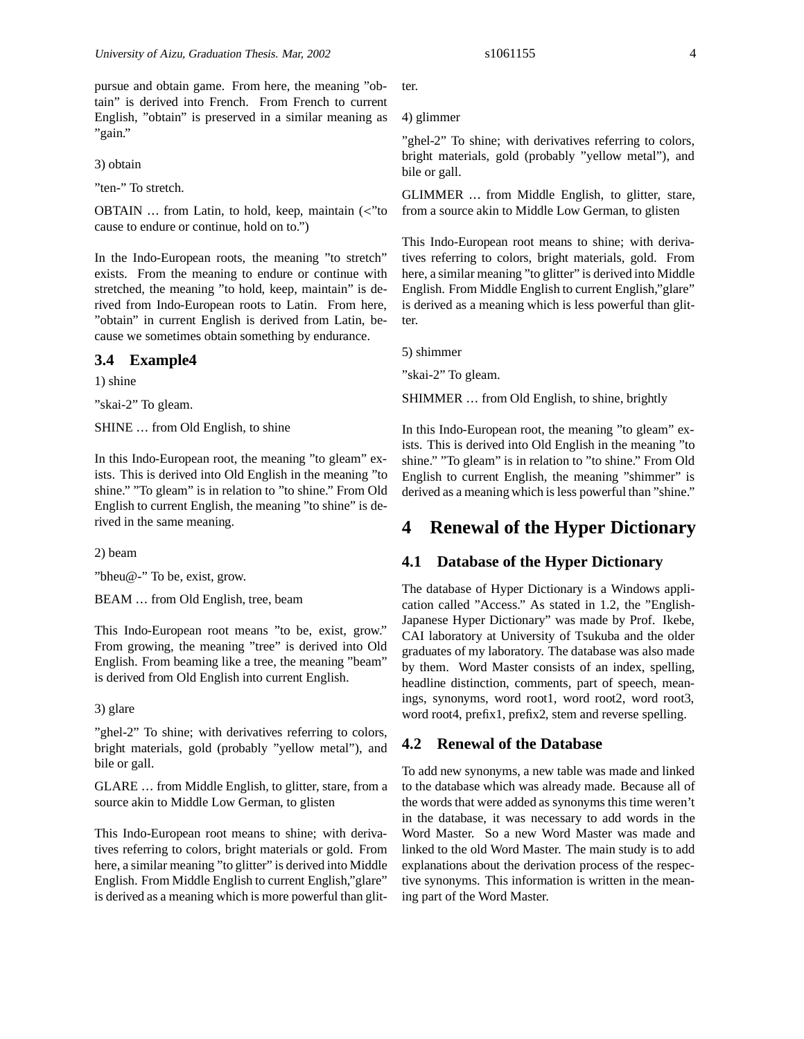pursue and obtain game. From here, the meaning "obtain" is derived into French. From French to current English, "obtain" is preserved in a similar meaning as "gain."

3) obtain

"ten-" To stretch.

OBTAIN … from Latin, to hold, keep, maintain (<"to cause to endure or continue, hold on to.")

In the Indo-European roots, the meaning "to stretch" exists. From the meaning to endure or continue with stretched, the meaning "to hold, keep, maintain" is derived from Indo-European roots to Latin. From here, "obtain" in current English is derived from Latin, because we sometimes obtain something by endurance.

#### **3.4 Example4**

1) shine

"skai-2" To gleam.

SHINE … from Old English, to shine

In this Indo-European root, the meaning "to gleam" exists. This is derived into Old English in the meaning "to shine." "To gleam" is in relation to "to shine." From Old English to current English, the meaning "to shine" is derived in the same meaning.

2) beam

"bheu@-" To be, exist, grow.

BEAM … from Old English, tree, beam

This Indo-European root means "to be, exist, grow." From growing, the meaning "tree" is derived into Old English. From beaming like a tree, the meaning "beam" is derived from Old English into current English.

#### 3) glare

"ghel-2" To shine; with derivatives referring to colors, bright materials, gold (probably "yellow metal"), and bile or gall.

GLARE … from Middle English, to glitter, stare, from a source akin to Middle Low German, to glisten

This Indo-European root means to shine; with derivatives referring to colors, bright materials or gold. From here, a similar meaning "to glitter" is derived into Middle English. From Middle English to current English,"glare" is derived as a meaning which is more powerful than glitter.

4) glimmer

"ghel-2" To shine; with derivatives referring to colors, bright materials, gold (probably "yellow metal"), and bile or gall.

GLIMMER … from Middle English, to glitter, stare, from a source akin to Middle Low German, to glisten

This Indo-European root means to shine; with derivatives referring to colors, bright materials, gold. From here, a similar meaning "to glitter" is derived into Middle English. From Middle English to current English,"glare" is derived as a meaning which is less powerful than glitter.

5) shimmer

"skai-2" To gleam.

SHIMMER … from Old English, to shine, brightly

In this Indo-European root, the meaning "to gleam" exists. This is derived into Old English in the meaning "to shine." "To gleam" is in relation to "to shine." From Old English to current English, the meaning "shimmer" is derived as a meaning which is less powerful than "shine."

## **4 Renewal of the Hyper Dictionary**

### **4.1 Database of the Hyper Dictionary**

The database of Hyper Dictionary is a Windows application called "Access." As stated in 1.2, the "English-Japanese Hyper Dictionary" was made by Prof. Ikebe, CAI laboratory at University of Tsukuba and the older graduates of my laboratory. The database was also made by them. Word Master consists of an index, spelling, headline distinction, comments, part of speech, meanings, synonyms, word root1, word root2, word root3, word root4, prefix1, prefix2, stem and reverse spelling.

#### **4.2 Renewal of the Database**

To add new synonyms, a new table was made and linked to the database which was already made. Because all of the words that were added as synonyms this time weren't in the database, it was necessary to add words in the Word Master. So a new Word Master was made and linked to the old Word Master. The main study is to add explanations about the derivation process of the respective synonyms. This information is written in the meaning part of the Word Master.